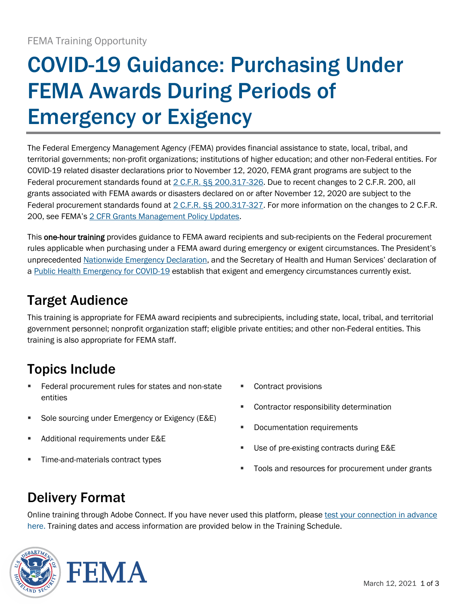# COVID-19 Guidance: Purchasing Under FEMA Awards During Periods of Emergency or Exigency

The Federal Emergency Management Agency (FEMA) provides financial assistance to state, local, tribal, and territorial governments; non-profit organizations; institutions of higher education; and other non-Federal entities. For COVID-19 related disaster declarations prior to November 12, 2020, FEMA grant programs are subject to the Federal procurement standards found at [2 C.F.R. §§ 200.317-326.](https://ecfr.federalregister.gov/on/2020-04-04/title-2/subtitle-A/chapter-II/part-200/subpart-D#section-200.317) Due to recent changes to 2 C.F.R. 200, all grants associated with FEMA awards or disasters declared on or after November 12, 2020 are subject to the Federal procurement standards found at [2 C.F.R. §§ 200.317-327.](https://ecfr.federalregister.gov/current/title-2/subtitle-A/chapter-II/part-200/subpart-D/subject-group-ECFR1ad5506a4809976#section-200.317) For more information on the changes to 2 C.F.R. 200, see FEMA's [2 CFR Grants Management Policy Updates.](https://www.fema.gov/grants/guidance-tools/2-cfr-2020#:~:text=2%20CFR%20Grants%20Management%20Policy%20Updates%20On%20August,12,%202020.%20This%20page%20captures%20those%20key%20changes.)

This one-hour training provides guidance to FEMA award recipients and sub-recipients on the Federal procurement rules applicable when purchasing under a FEMA award during emergency or exigent circumstances. The President's unprecedented [Nationwide Emergency Declaration](https://www.fema.gov/disasters/coronavirus/disaster-declarations), and the Secretary of Health and Human Services' declaration of a [Public Health Emergency for COVID-19](https://www.phe.gov/emergency/news/healthactions/phe/Pages/covid19-07Jan2021.aspx) establish that exigent and emergency circumstances currently exist.

### Target Audience

This training is appropriate for FEMA award recipients and subrecipients, including state, local, tribal, and territorial government personnel; nonprofit organization staff; eligible private entities; and other non-Federal entities. This training is also appropriate for FEMA staff.

## Topics Include

- Federal procurement rules for states and non-state entities
- Sole sourcing under Emergency or Exigency (E&E)
- Additional requirements under E&E
- **Time-and-materials contract types**
- Contract provisions
- Contractor responsibility determination
- **Documentation requirements**
- Use of pre-existing contracts during E&E
- Tools and resources for procurement under grants

### Delivery Format

Online training through Adobe Connect. If you have never used this platform, please test your connection in advance [here.](https://fema.connectsolutions.com/common/help/en/support/meeting_test.htm) Training dates and access information are provided below in the Training Schedule.

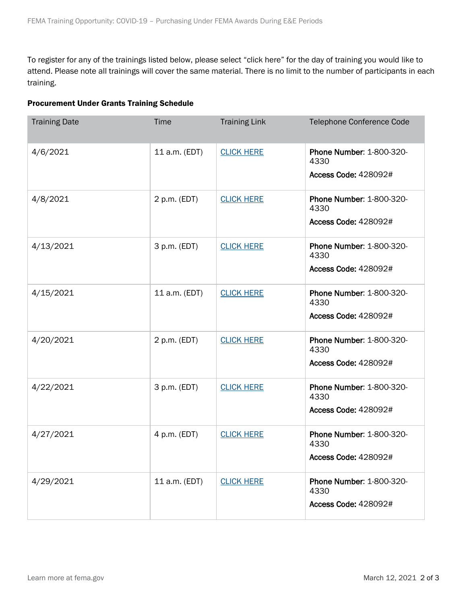To register for any of the trainings listed below, please select "click here" for the day of training you would like to attend. Please note all trainings will cover the same material. There is no limit to the number of participants in each training.

#### Procurement Under Grants Training Schedule

| <b>Training Date</b> | <b>Time</b>   | <b>Training Link</b> | Telephone Conference Code                                       |
|----------------------|---------------|----------------------|-----------------------------------------------------------------|
| 4/6/2021             | 11 a.m. (EDT) | <b>CLICK HERE</b>    | Phone Number: 1-800-320-<br>4330<br><b>Access Code: 428092#</b> |
| 4/8/2021             | 2 p.m. (EDT)  | <b>CLICK HERE</b>    | Phone Number: 1-800-320-<br>4330<br><b>Access Code: 428092#</b> |
| 4/13/2021            | 3 p.m. (EDT)  | <b>CLICK HERE</b>    | Phone Number: 1-800-320-<br>4330<br><b>Access Code: 428092#</b> |
| 4/15/2021            | 11 a.m. (EDT) | <b>CLICK HERE</b>    | Phone Number: 1-800-320-<br>4330<br><b>Access Code: 428092#</b> |
| 4/20/2021            | 2 p.m. (EDT)  | <b>CLICK HERE</b>    | Phone Number: 1-800-320-<br>4330<br><b>Access Code: 428092#</b> |
| 4/22/2021            | 3 p.m. (EDT)  | <b>CLICK HERE</b>    | Phone Number: 1-800-320-<br>4330<br><b>Access Code: 428092#</b> |
| 4/27/2021            | 4 p.m. (EDT)  | <b>CLICK HERE</b>    | Phone Number: 1-800-320-<br>4330<br>Access Code: 428092#        |
| 4/29/2021            | 11 a.m. (EDT) | <b>CLICK HERE</b>    | Phone Number: 1-800-320-<br>4330<br><b>Access Code: 428092#</b> |